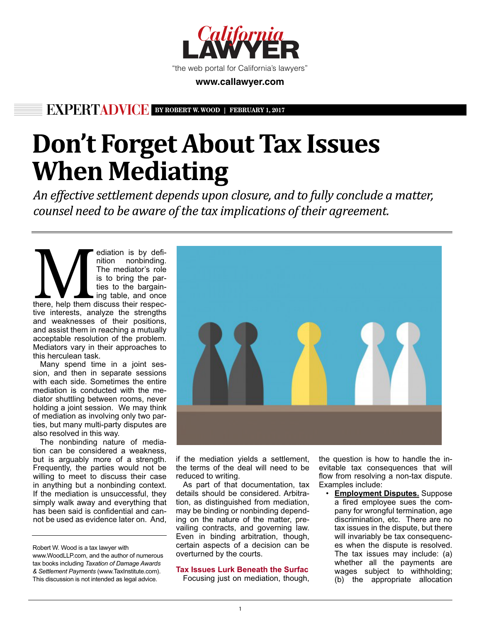

## **www.callawyer.com**

**EXPERTADVICE BY ROBERT W. WOOD | FEBRUARY 1, 2017**

# **Don't Forget About Tax Issues When Mediating**

An effective settlement depends upon closure, and to fully conclude a matter, counsel need to be aware of the tax implications of their agreement.

ediation is by definition<br>The mediator's role<br>is to bring the par-<br>ties to the bargain-<br>ing table, and once<br>then discuss their respec-<br>the interaction contains the transfer nition nonbinding. The mediator's role is to bring the parties to the bargaining table, and once tive interests, analyze the strengths and weaknesses of their positions, and assist them in reaching a mutually acceptable resolution of the problem. Mediators vary in their approaches to this herculean task.

Many spend time in a joint session, and then in separate sessions with each side. Sometimes the entire mediation is conducted with the mediator shuttling between rooms, never holding a joint session. We may think of mediation as involving only two parties, but many multi-party disputes are also resolved in this way.

The nonbinding nature of mediation can be considered a weakness, but is arguably more of a strength. Frequently, the parties would not be willing to meet to discuss their case in anything but a nonbinding context. If the mediation is unsuccessful, they simply walk away and everything that has been said is confidential and cannot be used as evidence later on. And,

Robert W. Wood is a tax lawyer with www.WoodLLP.com, and the author of numerous tax books including *Taxation of Damage Awards & Settlement Payments* (www.TaxInstitute.com). This discussion is not intended as legal advice.



if the mediation yields a settlement, the terms of the deal will need to be reduced to writing.

As part of that documentation, tax details should be considered. Arbitration, as distinguished from mediation, may be binding or nonbinding depending on the nature of the matter, prevailing contracts, and governing law. Even in binding arbitration, though, certain aspects of a decision can be overturned by the courts.

**Tax Issues Lurk Beneath the Surfac** Focusing just on mediation, though, the question is how to handle the inevitable tax consequences that will flow from resolving a non-tax dispute. Examples include:

**Employment Disputes.** Suppose a fired employee sues the company for wrongful termination, age discrimination, etc. There are no tax issues in the dispute, but there will invariably be tax consequences when the dispute is resolved. The tax issues may include: (a) whether all the payments are wages subject to withholding; (b) the appropriate allocation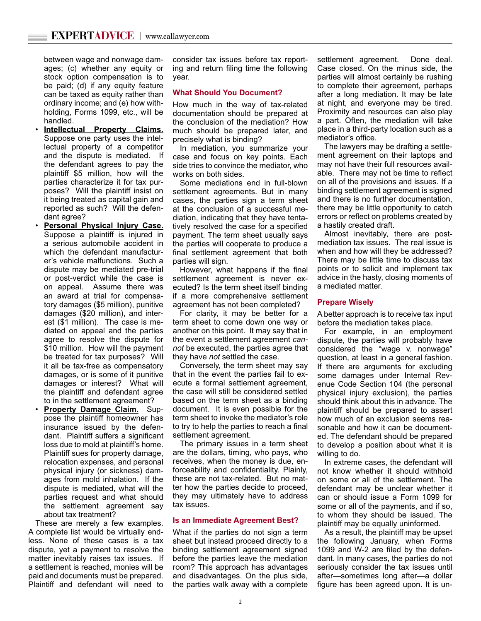between wage and nonwage damages; (c) whether any equity or stock option compensation is to be paid; (d) if any equity feature can be taxed as equity rather than ordinary income; and (e) how withholding, Forms 1099, etc., will be handled.

- **Intellectual Property Claims.** Suppose one party uses the intellectual property of a competitor and the dispute is mediated. If the defendant agrees to pay the plaintiff \$5 million, how will the parties characterize it for tax purposes? Will the plaintiff insist on it being treated as capital gain and reported as such? Will the defendant agree?
- **Personal Physical Injury Case.** Suppose a plaintiff is injured in a serious automobile accident in which the defendant manufacturer's vehicle malfunctions. Such a dispute may be mediated pre-trial or post-verdict while the case is on appeal. Assume there was an award at trial for compensatory damages (\$5 million), punitive damages (\$20 million), and interest (\$1 million). The case is mediated on appeal and the parties agree to resolve the dispute for \$10 million. How will the payment be treated for tax purposes? Will it all be tax-free as compensatory damages, or is some of it punitive damages or interest? What will the plaintiff and defendant agree to in the settlement agreement?
- **Property Damage Claim.** Suppose the plaintiff homeowner has insurance issued by the defendant. Plaintiff suffers a significant loss due to mold at plaintiff's home. Plaintiff sues for property damage, relocation expenses, and personal physical injury (or sickness) damages from mold inhalation. If the dispute is mediated, what will the parties request and what should the settlement agreement say about tax treatment?

These are merely a few examples. A complete list would be virtually endless. None of these cases is a tax dispute, yet a payment to resolve the matter inevitably raises tax issues. If a settlement is reached, monies will be paid and documents must be prepared. Plaintiff and defendant will need to

consider tax issues before tax reporting and return filing time the following year.

### **What Should You Document?**

How much in the way of tax-related documentation should be prepared at the conclusion of the mediation? How much should be prepared later, and precisely what is binding?

In mediation, you summarize your case and focus on key points. Each side tries to convince the mediator, who works on both sides.

Some mediations end in full-blown settlement agreements. But in many cases, the parties sign a term sheet at the conclusion of a successful mediation, indicating that they have tentatively resolved the case for a specified payment. The term sheet usually says the parties will cooperate to produce a final settlement agreement that both parties will sign.

However, what happens if the final settlement agreement is never executed? Is the term sheet itself binding if a more comprehensive settlement agreement has not been completed?

For clarity, it may be better for a term sheet to come down one way or another on this point. It may say that in the event a settlement agreement *cannot* be executed, the parties agree that they have *not* settled the case.

Conversely, the term sheet may say that in the event the parties fail to execute a formal settlement agreement, the case will still be considered settled based on the term sheet as a binding document. It is even possible for the term sheet to invoke the mediator's role to try to help the parties to reach a final settlement agreement.

The primary issues in a term sheet are the dollars, timing, who pays, who receives, when the money is due, enforceability and confidentiality. Plainly, these are not tax-related. But no matter how the parties decide to proceed, they may ultimately have to address tax issues.

#### **Is an Immediate Agreement Best?**

What if the parties do not sign a term sheet but instead proceed directly to a binding settlement agreement signed before the parties leave the mediation room? This approach has advantages and disadvantages. On the plus side, the parties walk away with a complete settlement agreement. Done deal. Case closed. On the minus side, the parties will almost certainly be rushing to complete their agreement, perhaps after a long mediation. It may be late at night, and everyone may be tired. Proximity and resources can also play a part. Often, the mediation will take place in a third-party location such as a mediator's office.

The lawyers may be drafting a settlement agreement on their laptops and may not have their full resources available. There may not be time to reflect on all of the provisions and issues. If a binding settlement agreement is signed and there is no further documentation, there may be little opportunity to catch errors or reflect on problems created by a hastily created draft.

Almost inevitably, there are postmediation tax issues. The real issue is when and how will they be addressed? There may be little time to discuss tax points or to solicit and implement tax advice in the hasty, closing moments of a mediated matter.

#### **Prepare Wisely**

A better approach is to receive tax input before the mediation takes place.

For example, in an employment dispute, the parties will probably have considered the "wage v. nonwage" question, at least in a general fashion. If there are arguments for excluding some damages under Internal Revenue Code Section 104 (the personal physical injury exclusion), the parties should think about this in advance. The plaintiff should be prepared to assert how much of an exclusion seems reasonable and how it can be documented. The defendant should be prepared to develop a position about what it is willing to do.

In extreme cases, the defendant will not know whether it should withhold on some or all of the settlement. The defendant may be unclear whether it can or should issue a Form 1099 for some or all of the payments, and if so, to whom they should be issued. The plaintiff may be equally uninformed.

As a result, the plaintiff may be upset the following January, when Forms 1099 and W-2 are filed by the defendant. In many cases, the parties do not seriously consider the tax issues until after—sometimes long after—a dollar figure has been agreed upon. It is un